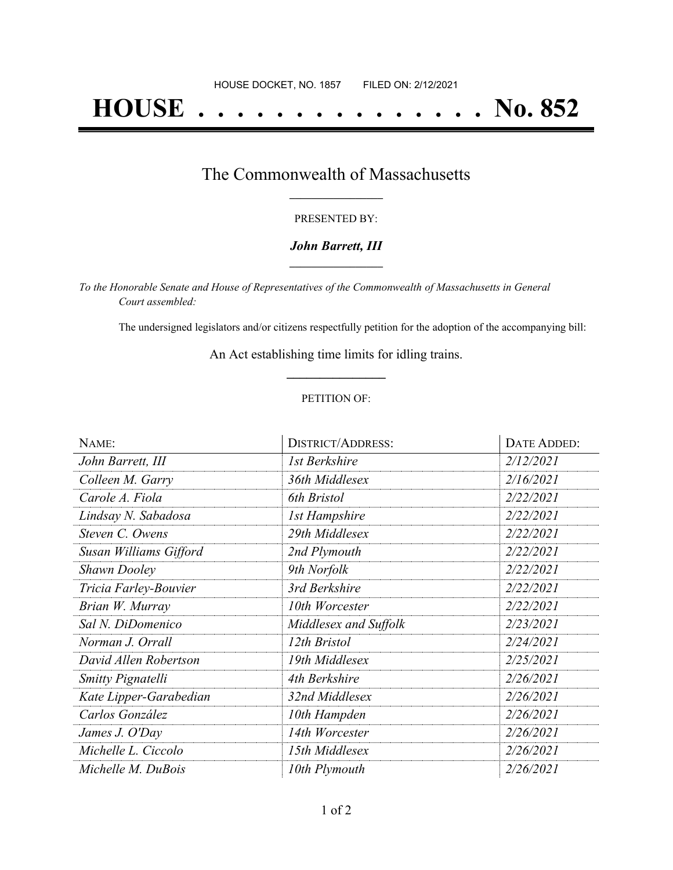# **HOUSE . . . . . . . . . . . . . . . No. 852**

# The Commonwealth of Massachusetts **\_\_\_\_\_\_\_\_\_\_\_\_\_\_\_\_\_**

#### PRESENTED BY:

#### *John Barrett, III* **\_\_\_\_\_\_\_\_\_\_\_\_\_\_\_\_\_**

*To the Honorable Senate and House of Representatives of the Commonwealth of Massachusetts in General Court assembled:*

The undersigned legislators and/or citizens respectfully petition for the adoption of the accompanying bill:

An Act establishing time limits for idling trains. **\_\_\_\_\_\_\_\_\_\_\_\_\_\_\_**

#### PETITION OF:

| NAME:                  | <b>DISTRICT/ADDRESS:</b> | DATE ADDED: |
|------------------------|--------------------------|-------------|
| John Barrett, III      | 1st Berkshire            | 2/12/2021   |
| Colleen M. Garry       | 36th Middlesex           | 2/16/2021   |
| Carole A. Fiola        | 6th Bristol              | 2/22/2021   |
| Lindsay N. Sabadosa    | <b>1st Hampshire</b>     | 2/22/2021   |
| Steven C. Owens        | 29th Middlesex           | 2/22/2021   |
| Susan Williams Gifford | 2nd Plymouth             | 2/22/2021   |
| <b>Shawn Dooley</b>    | 9th Norfolk              | 2/22/2021   |
| Tricia Farley-Bouvier  | 3rd Berkshire            | 2/22/2021   |
| Brian W. Murray        | 10th Worcester           | 2/22/2021   |
| Sal N. DiDomenico      | Middlesex and Suffolk    | 2/23/2021   |
| Norman J. Orrall       | 12th Bristol             | 2/24/2021   |
| David Allen Robertson  | 19th Middlesex           | 2/25/2021   |
| Smitty Pignatelli      | 4th Berkshire            | 2/26/2021   |
| Kate Lipper-Garabedian | 32nd Middlesex           | 2/26/2021   |
| Carlos González        | 10th Hampden             | 2/26/2021   |
| James J. O'Day         | 14th Worcester           | 2/26/2021   |
| Michelle L. Ciccolo    | 15th Middlesex           | 2/26/2021   |
| Michelle M. DuBois     | 10th Plymouth            | 2/26/2021   |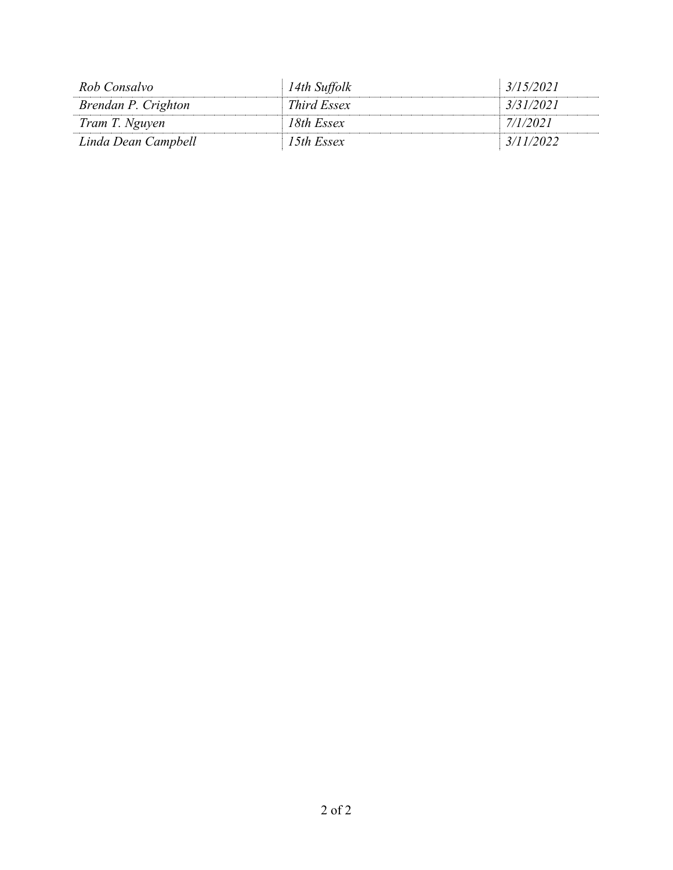| Rob Consalvo        | 14th Suffolk | 3/15/2021 |
|---------------------|--------------|-----------|
| Brendan P. Crighton | Third Essex  | 3/31/2021 |
| Tram T. Nguyen      | 18th Essex   | 7/1/2021  |
| Linda Dean Campbell | 15th Essex   | 3/11/2022 |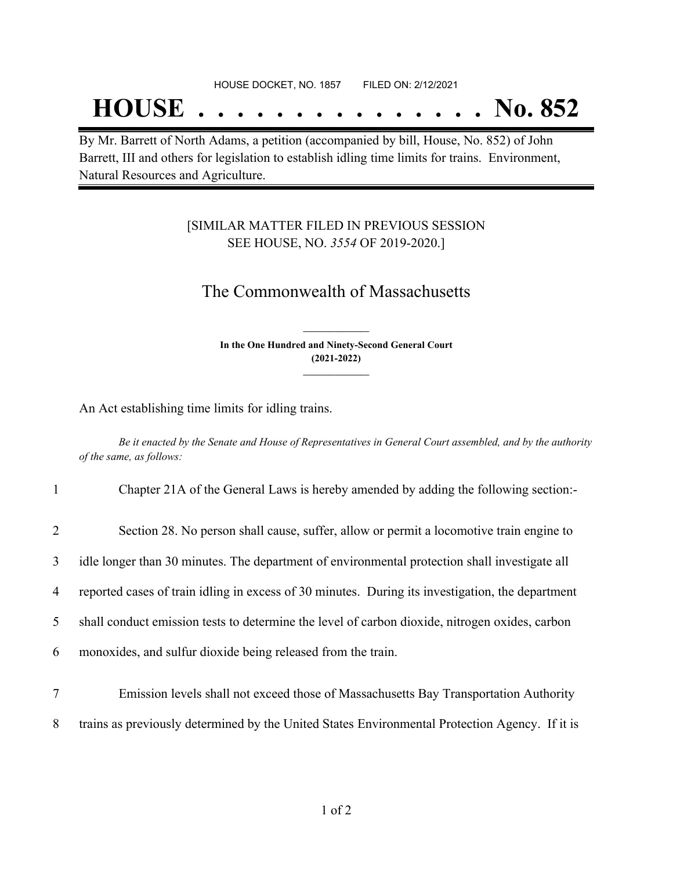#### HOUSE DOCKET, NO. 1857 FILED ON: 2/12/2021

# **HOUSE . . . . . . . . . . . . . . . No. 852**

By Mr. Barrett of North Adams, a petition (accompanied by bill, House, No. 852) of John Barrett, III and others for legislation to establish idling time limits for trains. Environment, Natural Resources and Agriculture.

### [SIMILAR MATTER FILED IN PREVIOUS SESSION SEE HOUSE, NO. *3554* OF 2019-2020.]

## The Commonwealth of Massachusetts

**In the One Hundred and Ninety-Second General Court (2021-2022) \_\_\_\_\_\_\_\_\_\_\_\_\_\_\_**

**\_\_\_\_\_\_\_\_\_\_\_\_\_\_\_**

An Act establishing time limits for idling trains.

Be it enacted by the Senate and House of Representatives in General Court assembled, and by the authority *of the same, as follows:*

| $\mathbf{1}$   | Chapter 21A of the General Laws is hereby amended by adding the following section:-              |
|----------------|--------------------------------------------------------------------------------------------------|
| $\overline{2}$ | Section 28. No person shall cause, suffer, allow or permit a locomotive train engine to          |
| 3              | idle longer than 30 minutes. The department of environmental protection shall investigate all    |
| 4              | reported cases of train idling in excess of 30 minutes. During its investigation, the department |
| 5              | shall conduct emission tests to determine the level of carbon dioxide, nitrogen oxides, carbon   |
| 6              | monoxides, and sulfur dioxide being released from the train.                                     |
|                | Emission levels shall not exceed those of Massachusetts Bay Transportation Authority             |

8 trains as previously determined by the United States Environmental Protection Agency. If it is